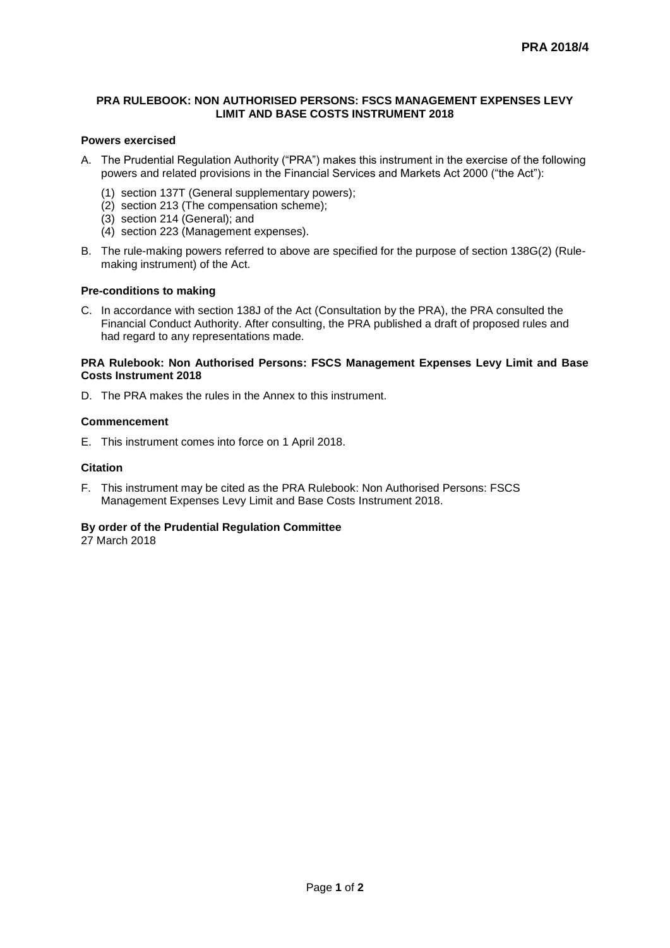## **PRA RULEBOOK: NON AUTHORISED PERSONS: FSCS MANAGEMENT EXPENSES LEVY LIMIT AND BASE COSTS INSTRUMENT 2018**

## **Powers exercised**

- A. The Prudential Regulation Authority ("PRA") makes this instrument in the exercise of the following powers and related provisions in the Financial Services and Markets Act 2000 ("the Act"):
	- (1) section 137T (General supplementary powers);
	- (2) section 213 (The compensation scheme);
	- (3) section 214 (General); and
	- (4) section 223 (Management expenses).
- B. The rule-making powers referred to above are specified for the purpose of section 138G(2) (Rulemaking instrument) of the Act.

### **Pre-conditions to making**

C. In accordance with section 138J of the Act (Consultation by the PRA), the PRA consulted the Financial Conduct Authority. After consulting, the PRA published a draft of proposed rules and had regard to any representations made.

## **PRA Rulebook: Non Authorised Persons: FSCS Management Expenses Levy Limit and Base Costs Instrument 2018**

D. The PRA makes the rules in the Annex to this instrument.

### **Commencement**

E. This instrument comes into force on 1 April 2018.

#### **Citation**

F. This instrument may be cited as the PRA Rulebook: Non Authorised Persons: FSCS Management Expenses Levy Limit and Base Costs Instrument 2018.

#### **By order of the Prudential Regulation Committee**

27 March 2018